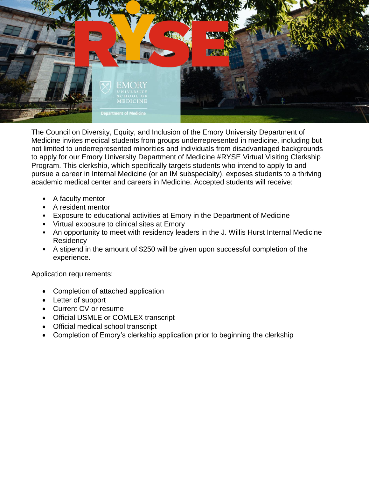

The Council on Diversity, Equity, and Inclusion of the Emory University Department of Medicine invites medical students from groups underrepresented in medicine, including but not limited to underrepresented minorities and individuals from disadvantaged backgrounds to apply for our Emory University Department of Medicine #RYSE Virtual Visiting Clerkship Program. This clerkship, which specifically targets students who intend to apply to and pursue a career in Internal Medicine (or an IM subspecialty), exposes students to a thriving academic medical center and careers in Medicine. Accepted students will receive:

- A faculty mentor
- A resident mentor
- Exposure to educational activities at Emory in the Department of Medicine
- Virtual exposure to clinical sites at Emory
- An opportunity to meet with residency leaders in the J. Willis Hurst Internal Medicine **Residency**
- A stipend in the amount of \$250 will be given upon successful completion of the experience.

Application requirements:

- Completion of attached application
- Letter of support
- Current CV or resume
- Official USMLE or COMLEX transcript
- Official medical school transcript
- Completion of Emory's clerkship application prior to beginning the clerkship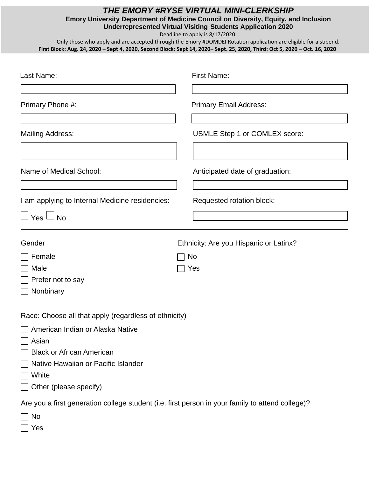## *THE EMORY #RYSE VIRTUAL MINI-CLERKSHIP*

**Emory University Department of Medicine Council on Diversity, Equity, and Inclusion Underrepresented Virtual Visiting Students Application 2020**

Deadline to apply is 8/17/2020.

Only those who apply and are accepted through the Emory #DOMDEI Rotation application are eligible for a stipend. **First Block: Aug. 24, 2020 – Sept 4, 2020, Second Block: Sept 14, 2020– Sept. 25, 2020, Third: Oct 5, 2020 – Oct. 16, 2020**

| Last Name:                                                                                       | <b>First Name:</b>                     |
|--------------------------------------------------------------------------------------------------|----------------------------------------|
| Primary Phone #:                                                                                 | <b>Primary Email Address:</b>          |
| <b>Mailing Address:</b>                                                                          | USMLE Step 1 or COMLEX score:          |
| Name of Medical School:                                                                          | Anticipated date of graduation:        |
| I am applying to Internal Medicine residencies:                                                  | Requested rotation block:              |
| $\Box$ Yes $\Box$ No                                                                             |                                        |
| Gender                                                                                           | Ethnicity: Are you Hispanic or Latinx? |
| Female                                                                                           | No                                     |
| Male                                                                                             | Yes                                    |
| Prefer not to say                                                                                |                                        |
| Nonbinary                                                                                        |                                        |
| Race: Choose all that apply (regardless of ethnicity)                                            |                                        |
| American Indian or Alaska Native                                                                 |                                        |
| Asian                                                                                            |                                        |
| <b>Black or African American</b>                                                                 |                                        |
| Native Hawaiian or Pacific Islander                                                              |                                        |
| White                                                                                            |                                        |
| Other (please specify)                                                                           |                                        |
| Are you a first generation college student (i.e. first person in your family to attend college)? |                                        |
| No                                                                                               |                                        |
| Yes                                                                                              |                                        |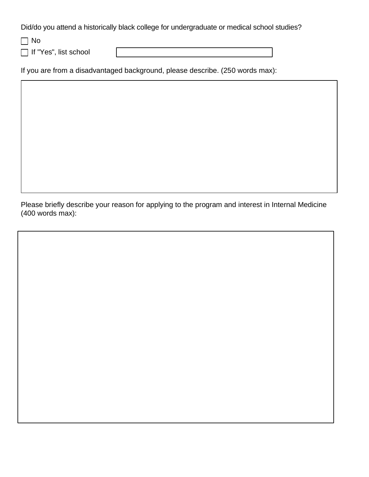Did/do you attend a historically black college for undergraduate or medical school studies?

No

□ If "Yes", list school

If you are from a disadvantaged background, please describe. (250 words max):

Please briefly describe your reason for applying to the program and interest in Internal Medicine (400 words max):